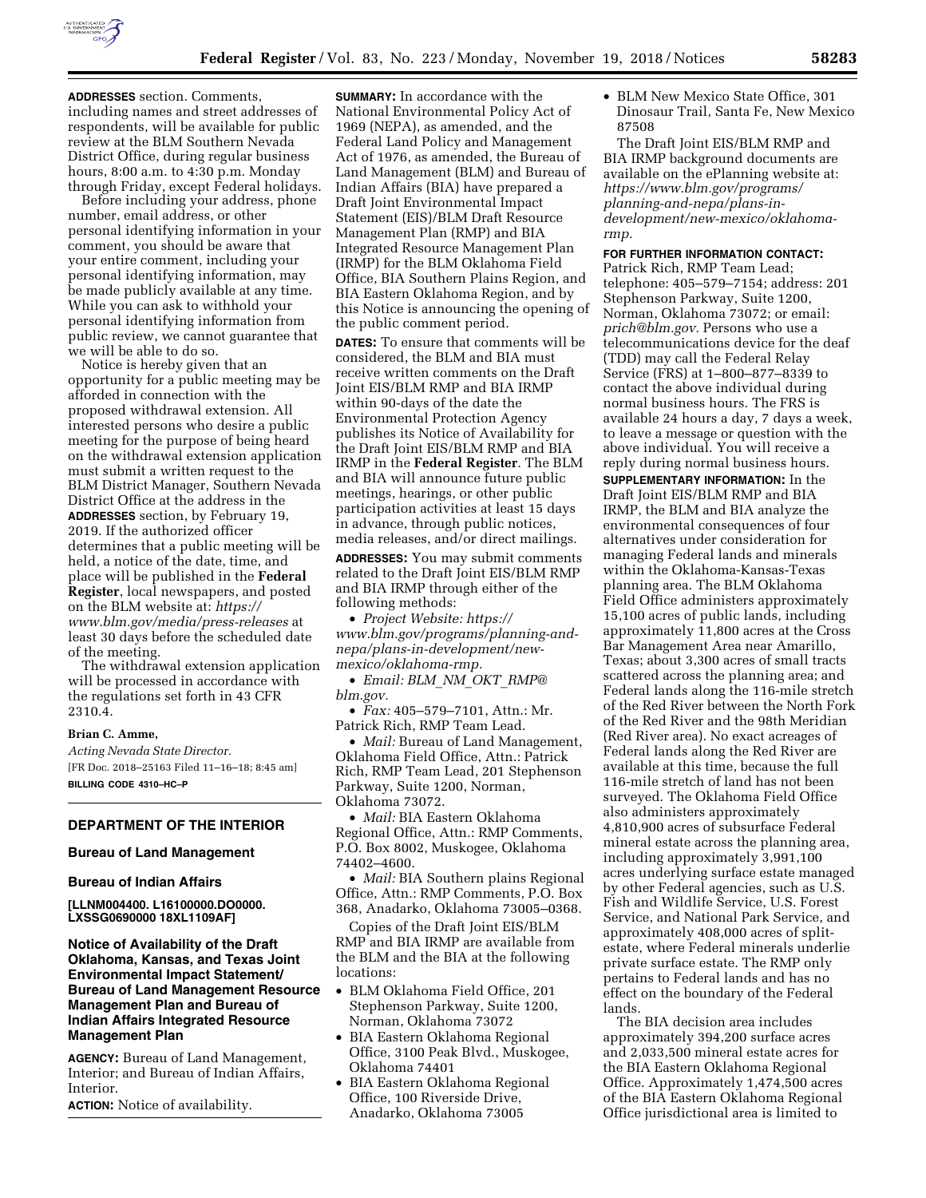

**ADDRESSES** section. Comments, including names and street addresses of respondents, will be available for public review at the BLM Southern Nevada District Office, during regular business hours, 8:00 a.m. to 4:30 p.m. Monday through Friday, except Federal holidays.

Before including your address, phone number, email address, or other personal identifying information in your comment, you should be aware that your entire comment, including your personal identifying information, may be made publicly available at any time. While you can ask to withhold your personal identifying information from public review, we cannot guarantee that we will be able to do so.

Notice is hereby given that an opportunity for a public meeting may be afforded in connection with the proposed withdrawal extension. All interested persons who desire a public meeting for the purpose of being heard on the withdrawal extension application must submit a written request to the BLM District Manager, Southern Nevada District Office at the address in the **ADDRESSES** section, by February 19, 2019. If the authorized officer determines that a public meeting will be held, a notice of the date, time, and place will be published in the **Federal Register**, local newspapers, and posted on the BLM website at: *[https://](https://www.blm.gov/media/press-releases) [www.blm.gov/media/press-releases](https://www.blm.gov/media/press-releases)* at least 30 days before the scheduled date of the meeting.

The withdrawal extension application will be processed in accordance with the regulations set forth in 43 CFR 2310.4.

### **Brian C. Amme,**

*Acting Nevada State Director.*  [FR Doc. 2018–25163 Filed 11–16–18; 8:45 am] **BILLING CODE 4310–HC–P** 

### **DEPARTMENT OF THE INTERIOR**

### **Bureau of Land Management**

### **Bureau of Indian Affairs**

**[LLNM004400. L16100000.DO0000. LXSSG0690000 18XL1109AF]** 

## **Notice of Availability of the Draft Oklahoma, Kansas, and Texas Joint Environmental Impact Statement/ Bureau of Land Management Resource Management Plan and Bureau of Indian Affairs Integrated Resource Management Plan**

**AGENCY:** Bureau of Land Management, Interior; and Bureau of Indian Affairs, Interior.

**ACTION:** Notice of availability.

**SUMMARY:** In accordance with the National Environmental Policy Act of 1969 (NEPA), as amended, and the Federal Land Policy and Management Act of 1976, as amended, the Bureau of Land Management (BLM) and Bureau of Indian Affairs (BIA) have prepared a Draft Joint Environmental Impact Statement (EIS)/BLM Draft Resource Management Plan (RMP) and BIA Integrated Resource Management Plan (IRMP) for the BLM Oklahoma Field Office, BIA Southern Plains Region, and BIA Eastern Oklahoma Region, and by this Notice is announcing the opening of the public comment period.

**DATES:** To ensure that comments will be considered, the BLM and BIA must receive written comments on the Draft Joint EIS/BLM RMP and BIA IRMP within 90-days of the date the Environmental Protection Agency publishes its Notice of Availability for the Draft Joint EIS/BLM RMP and BIA IRMP in the **Federal Register**. The BLM and BIA will announce future public meetings, hearings, or other public participation activities at least 15 days in advance, through public notices, media releases, and/or direct mailings.

**ADDRESSES:** You may submit comments related to the Draft Joint EIS/BLM RMP and BIA IRMP through either of the following methods:

• *Project Website: https:// [www.blm.gov/programs/planning-and](https://www.blm.gov/programs/planning-and-nepa/plans-in-development/new-mexico/oklahoma-rmp)[nepa/plans-in-development/new](https://www.blm.gov/programs/planning-and-nepa/plans-in-development/new-mexico/oklahoma-rmp)[mexico/oklahoma-rmp.](https://www.blm.gov/programs/planning-and-nepa/plans-in-development/new-mexico/oklahoma-rmp)* 

• *Email: BLM*\_*NM*\_*OKT*\_*[RMP@](mailto:BLM_NM_OKT_RMP@blm.gov) [blm.gov.](mailto:BLM_NM_OKT_RMP@blm.gov)* 

• *Fax:* 405–579–7101, Attn.: Mr. Patrick Rich, RMP Team Lead.

• *Mail:* Bureau of Land Management, Oklahoma Field Office, Attn.: Patrick Rich, RMP Team Lead, 201 Stephenson Parkway, Suite 1200, Norman, Oklahoma 73072.

• *Mail:* BIA Eastern Oklahoma Regional Office, Attn.: RMP Comments, P.O. Box 8002, Muskogee, Oklahoma 74402–4600.

• *Mail:* BIA Southern plains Regional Office, Attn.: RMP Comments, P.O. Box 368, Anadarko, Oklahoma 73005–0368.

Copies of the Draft Joint EIS/BLM RMP and BIA IRMP are available from the BLM and the BIA at the following locations:

- BLM Oklahoma Field Office, 201 Stephenson Parkway, Suite 1200, Norman, Oklahoma 73072
- BIA Eastern Oklahoma Regional Office, 3100 Peak Blvd., Muskogee, Oklahoma 74401
- BIA Eastern Oklahoma Regional Office, 100 Riverside Drive, Anadarko, Oklahoma 73005

• BLM New Mexico State Office, 301 Dinosaur Trail, Santa Fe, New Mexico 87508

The Draft Joint EIS/BLM RMP and BIA IRMP background documents are available on the ePlanning website at: *[https://www.blm.gov/programs/](https://www.blm.gov/programs/planning-and-nepa/plans-in-development/new-mexico/oklahoma-rmp)  [planning-and-nepa/plans-in](https://www.blm.gov/programs/planning-and-nepa/plans-in-development/new-mexico/oklahoma-rmp)[development/new-mexico/oklahoma](https://www.blm.gov/programs/planning-and-nepa/plans-in-development/new-mexico/oklahoma-rmp)[rmp.](https://www.blm.gov/programs/planning-and-nepa/plans-in-development/new-mexico/oklahoma-rmp)* 

# **FOR FURTHER INFORMATION CONTACT:**

Patrick Rich, RMP Team Lead; telephone: 405–579–7154; address: 201 Stephenson Parkway, Suite 1200, Norman, Oklahoma 73072; or email: *[prich@blm.gov.](mailto:prich@blm.gov)* Persons who use a telecommunications device for the deaf (TDD) may call the Federal Relay Service (FRS) at 1–800–877–8339 to contact the above individual during normal business hours. The FRS is available 24 hours a day, 7 days a week, to leave a message or question with the above individual. You will receive a reply during normal business hours. **SUPPLEMENTARY INFORMATION:** In the Draft Joint EIS/BLM RMP and BIA IRMP, the BLM and BIA analyze the environmental consequences of four alternatives under consideration for managing Federal lands and minerals within the Oklahoma-Kansas-Texas planning area. The BLM Oklahoma Field Office administers approximately 15,100 acres of public lands, including approximately 11,800 acres at the Cross Bar Management Area near Amarillo, Texas; about 3,300 acres of small tracts scattered across the planning area; and Federal lands along the 116-mile stretch of the Red River between the North Fork of the Red River and the 98th Meridian (Red River area). No exact acreages of Federal lands along the Red River are available at this time, because the full 116-mile stretch of land has not been surveyed. The Oklahoma Field Office also administers approximately 4,810,900 acres of subsurface Federal mineral estate across the planning area, including approximately 3,991,100 acres underlying surface estate managed by other Federal agencies, such as U.S. Fish and Wildlife Service, U.S. Forest Service, and National Park Service, and approximately 408,000 acres of splitestate, where Federal minerals underlie private surface estate. The RMP only pertains to Federal lands and has no effect on the boundary of the Federal lands.

The BIA decision area includes approximately 394,200 surface acres and 2,033,500 mineral estate acres for the BIA Eastern Oklahoma Regional Office. Approximately 1,474,500 acres of the BIA Eastern Oklahoma Regional Office jurisdictional area is limited to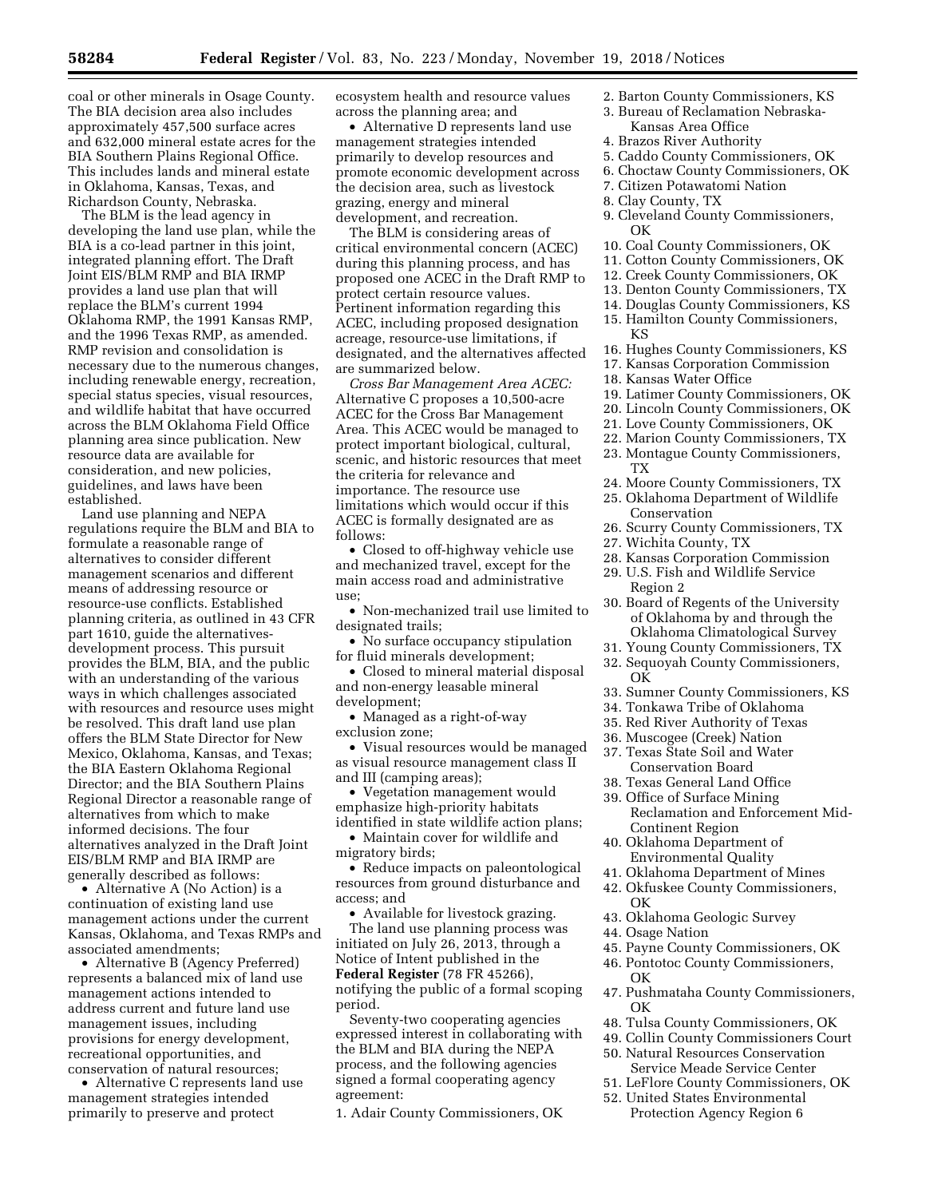Richardson County, Nebraska. The BLM is the lead agency in developing the land use plan, while the BIA is a co-lead partner in this joint, integrated planning effort. The Draft Joint EIS/BLM RMP and BIA IRMP provides a land use plan that will replace the BLM's current 1994 Oklahoma RMP, the 1991 Kansas RMP, and the 1996 Texas RMP, as amended. RMP revision and consolidation is necessary due to the numerous changes, including renewable energy, recreation, special status species, visual resources, and wildlife habitat that have occurred across the BLM Oklahoma Field Office planning area since publication. New resource data are available for consideration, and new policies, guidelines, and laws have been established.

Land use planning and NEPA regulations require the BLM and BIA to formulate a reasonable range of alternatives to consider different management scenarios and different means of addressing resource or resource-use conflicts. Established planning criteria, as outlined in 43 CFR part 1610, guide the alternativesdevelopment process. This pursuit provides the BLM, BIA, and the public with an understanding of the various ways in which challenges associated with resources and resource uses might be resolved. This draft land use plan offers the BLM State Director for New Mexico, Oklahoma, Kansas, and Texas; the BIA Eastern Oklahoma Regional Director; and the BIA Southern Plains Regional Director a reasonable range of alternatives from which to make informed decisions. The four alternatives analyzed in the Draft Joint EIS/BLM RMP and BIA IRMP are generally described as follows:

• Alternative A (No Action) is a continuation of existing land use management actions under the current Kansas, Oklahoma, and Texas RMPs and associated amendments;

• Alternative B (Agency Preferred) represents a balanced mix of land use management actions intended to address current and future land use management issues, including provisions for energy development, recreational opportunities, and conservation of natural resources;

• Alternative C represents land use management strategies intended primarily to preserve and protect

ecosystem health and resource values across the planning area; and

• Alternative D represents land use management strategies intended primarily to develop resources and promote economic development across the decision area, such as livestock grazing, energy and mineral development, and recreation.

The BLM is considering areas of critical environmental concern (ACEC) during this planning process, and has proposed one ACEC in the Draft RMP to protect certain resource values. Pertinent information regarding this ACEC, including proposed designation acreage, resource-use limitations, if designated, and the alternatives affected are summarized below.

*Cross Bar Management Area ACEC:*  Alternative C proposes a 10,500-acre ACEC for the Cross Bar Management Area. This ACEC would be managed to protect important biological, cultural, scenic, and historic resources that meet the criteria for relevance and importance. The resource use limitations which would occur if this ACEC is formally designated are as follows:

• Closed to off-highway vehicle use and mechanized travel, except for the main access road and administrative use;

• Non-mechanized trail use limited to designated trails;

• No surface occupancy stipulation for fluid minerals development;

• Closed to mineral material disposal and non-energy leasable mineral development;

• Managed as a right-of-way exclusion zone;

• Visual resources would be managed as visual resource management class II and III (camping areas);

• Vegetation management would emphasize high-priority habitats identified in state wildlife action plans;

• Maintain cover for wildlife and migratory birds;

• Reduce impacts on paleontological resources from ground disturbance and access; and

• Available for livestock grazing.

The land use planning process was initiated on July 26, 2013, through a Notice of Intent published in the **Federal Register** (78 FR 45266), notifying the public of a formal scoping period.

Seventy-two cooperating agencies expressed interest in collaborating with the BLM and BIA during the NEPA process, and the following agencies signed a formal cooperating agency agreement:

1. Adair County Commissioners, OK

- 2. Barton County Commissioners, KS
- 3. Bureau of Reclamation Nebraska-Kansas Area Office
- 4. Brazos River Authority
- 5. Caddo County Commissioners, OK
- 6. Choctaw County Commissioners, OK
- 7. Citizen Potawatomi Nation
- 8. Clay County, TX
- 9. Cleveland County Commissioners,  $\bigcap K$
- 10. Coal County Commissioners, OK
- 11. Cotton County Commissioners, OK
- 12. Creek County Commissioners, OK
- 13. Denton County Commissioners, TX
- 14. Douglas County Commissioners, KS
- 15. Hamilton County Commissioners, KS
- 16. Hughes County Commissioners, KS
- 17. Kansas Corporation Commission
- 18. Kansas Water Office
- 19. Latimer County Commissioners, OK
- 20. Lincoln County Commissioners, OK
- 21. Love County Commissioners, OK
- 22. Marion County Commissioners, TX
- 23. Montague County Commissioners, TX
- 24. Moore County Commissioners, TX
- 25. Oklahoma Department of Wildlife Conservation
- 26. Scurry County Commissioners, TX
- 27. Wichita County, TX
- 28. Kansas Corporation Commission
- 29. U.S. Fish and Wildlife Service Region 2
- 30. Board of Regents of the University of Oklahoma by and through the Oklahoma Climatological Survey
- 31. Young County Commissioners, TX
- 32. Sequoyah County Commissioners, OK
- 33. Sumner County Commissioners, KS
- 34. Tonkawa Tribe of Oklahoma
- 35. Red River Authority of Texas
- 36. Muscogee (Creek) Nation
- 37. Texas State Soil and Water Conservation Board
- 38. Texas General Land Office
- 39. Office of Surface Mining Reclamation and Enforcement Mid-Continent Region
- 40. Oklahoma Department of Environmental Quality
- 41. Oklahoma Department of Mines
- 42. Okfuskee County Commissioners,
- OK
- 43. Oklahoma Geologic Survey
- 44. Osage Nation
- 45. Payne County Commissioners, OK
- 46. Pontotoc County Commissioners, OK
- 47. Pushmataha County Commissioners, OK
- 48. Tulsa County Commissioners, OK
- 49. Collin County Commissioners Court
- 50. Natural Resources Conservation Service Meade Service Center
- 51. LeFlore County Commissioners, OK
- 52. United States Environmental Protection Agency Region 6